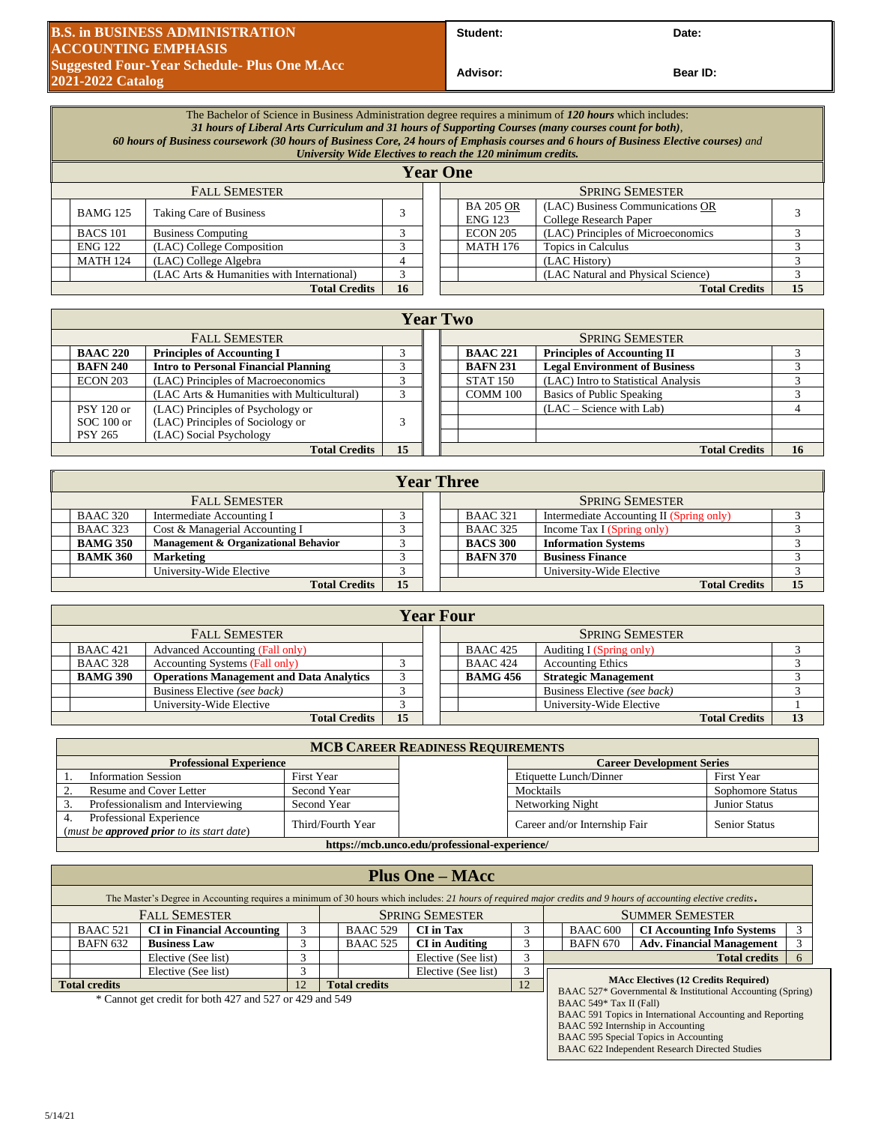## **B.S. in BUSINESS ADMINISTRATION ACCOUNTING EMPHASIS Suggested Four-Year Schedule- Plus One M.Acc 2021-2022 Catalog**

**Student: Date:**

**Bear ID:** 

|                                              | The Bachelor of Science in Business Administration degree requires a minimum of 120 hours which includes:<br>31 hours of Liberal Arts Curriculum and 31 hours of Supporting Courses (many courses count for both),<br>60 hours of Business coursework (30 hours of Business Core, 24 hours of Emphasis courses and 6 hours of Business Elective courses) and<br>University Wide Electives to reach the 120 minimum credits. |                                |               |  |  |                                    |                                                            |  |  |
|----------------------------------------------|-----------------------------------------------------------------------------------------------------------------------------------------------------------------------------------------------------------------------------------------------------------------------------------------------------------------------------------------------------------------------------------------------------------------------------|--------------------------------|---------------|--|--|------------------------------------|------------------------------------------------------------|--|--|
|                                              | <b>Year One</b>                                                                                                                                                                                                                                                                                                                                                                                                             |                                |               |  |  |                                    |                                                            |  |  |
| <b>FALL SEMESTER</b>                         |                                                                                                                                                                                                                                                                                                                                                                                                                             |                                |               |  |  |                                    | <b>SPRING SEMESTER</b>                                     |  |  |
|                                              | <b>BAMG 125</b>                                                                                                                                                                                                                                                                                                                                                                                                             | <b>Taking Care of Business</b> |               |  |  | <b>BA 205 OR</b><br><b>ENG 123</b> | (LAC) Business Communications OR<br>College Research Paper |  |  |
| <b>BACS</b> 101<br><b>Business Computing</b> |                                                                                                                                                                                                                                                                                                                                                                                                                             |                                |               |  |  | <b>ECON 205</b>                    | (LAC) Principles of Microeconomics                         |  |  |
|                                              | <b>ENG 122</b>                                                                                                                                                                                                                                                                                                                                                                                                              | (LAC) College Composition      | $\rightarrow$ |  |  | <b>MATH 176</b>                    | Topics in Calculus                                         |  |  |
|                                              | <b>MATH 124</b>                                                                                                                                                                                                                                                                                                                                                                                                             | (LAC) College Algebra          |               |  |  |                                    | (LAC History)                                              |  |  |

(LAC Arts & Humanities with International) 3 (LAC Natural and Physical Science) 3

**Total Credits 16 Total Credits 15**

| <b>Year Two</b>                                                    |                                             |        |  |                        |                 |                                      |    |  |  |
|--------------------------------------------------------------------|---------------------------------------------|--------|--|------------------------|-----------------|--------------------------------------|----|--|--|
|                                                                    |                                             |        |  |                        |                 |                                      |    |  |  |
|                                                                    | <b>FALL SEMESTER</b>                        |        |  | <b>SPRING SEMESTER</b> |                 |                                      |    |  |  |
| <b>BAAC 220</b><br><b>Principles of Accounting I</b><br>$\sqrt{2}$ |                                             |        |  |                        | <b>BAAC 221</b> | <b>Principles of Accounting II</b>   |    |  |  |
| <b>BAFN 240</b>                                                    | <b>Intro to Personal Financial Planning</b> |        |  |                        | <b>BAFN 231</b> | <b>Legal Environment of Business</b> |    |  |  |
| <b>ECON 203</b>                                                    | (LAC) Principles of Macroeconomics          |        |  |                        | <b>STAT 150</b> | (LAC) Intro to Statistical Analysis  |    |  |  |
|                                                                    | (LAC Arts & Humanities with Multicultural)  | $\sim$ |  |                        | COMM 100        | Basics of Public Speaking            |    |  |  |
| <b>PSY 120 or</b>                                                  | (LAC) Principles of Psychology or           |        |  |                        |                 | $(LAC - Science with Lab)$           |    |  |  |
| $SOC 100$ or                                                       | (LAC) Principles of Sociology or            |        |  |                        |                 |                                      |    |  |  |
| <b>PSY 265</b>                                                     | (LAC) Social Psychology                     |        |  |                        |                 |                                      |    |  |  |
| 15<br><b>Total Credits</b>                                         |                                             |        |  |                        |                 | <b>Total Credits</b>                 | 16 |  |  |

| <b>Year Three</b>                                       |  |  |  |  |                 |                                          |    |  |
|---------------------------------------------------------|--|--|--|--|-----------------|------------------------------------------|----|--|
| <b>FALL SEMESTER</b>                                    |  |  |  |  |                 | <b>SPRING SEMESTER</b>                   |    |  |
| <b>BAAC 320</b><br>Intermediate Accounting I            |  |  |  |  | <b>BAAC 321</b> | Intermediate Accounting II (Spring only) |    |  |
| <b>BAAC 323</b><br>Cost & Managerial Accounting I       |  |  |  |  | <b>BAAC 325</b> | Income Tax I (Spring only)               |    |  |
| <b>BAMG 350</b><br>Management & Organizational Behavior |  |  |  |  | <b>BACS 300</b> | <b>Information Systems</b>               |    |  |
| <b>BAMK 360</b><br><b>Marketing</b>                     |  |  |  |  | <b>BAFN 370</b> | <b>Business Finance</b>                  |    |  |
| University-Wide Elective                                |  |  |  |  |                 | University-Wide Elective                 |    |  |
| 15<br><b>Total Credits</b>                              |  |  |  |  |                 | <b>Total Credits</b>                     | 15 |  |

|                      | <b>Year Four</b>     |                                                 |  |  |  |                 |                              |  |  |
|----------------------|----------------------|-------------------------------------------------|--|--|--|-----------------|------------------------------|--|--|
| <b>FALL SEMESTER</b> |                      |                                                 |  |  |  |                 | <b>SPRING SEMESTER</b>       |  |  |
|                      | <b>BAAC</b> 421      | <b>Advanced Accounting (Fall only)</b>          |  |  |  | <b>BAAC 425</b> | Auditing I (Spring only)     |  |  |
|                      | <b>BAAC 328</b>      | <b>Accounting Systems (Fall only)</b>           |  |  |  | <b>BAAC 424</b> | <b>Accounting Ethics</b>     |  |  |
|                      | <b>BAMG 390</b>      | <b>Operations Management and Data Analytics</b> |  |  |  | <b>BAMG 456</b> | <b>Strategic Management</b>  |  |  |
|                      |                      | Business Elective (see back)                    |  |  |  |                 | Business Elective (see back) |  |  |
|                      |                      | University-Wide Elective                        |  |  |  |                 | University-Wide Elective     |  |  |
|                      | <b>Total Credits</b> |                                                 |  |  |  |                 | <b>Total Credits</b>         |  |  |

| <b>MCB CAREER READINESS REQUIREMENTS</b>                                     |                   |  |                                  |                      |  |  |  |  |
|------------------------------------------------------------------------------|-------------------|--|----------------------------------|----------------------|--|--|--|--|
| <b>Professional Experience</b>                                               |                   |  | <b>Career Development Series</b> |                      |  |  |  |  |
| <b>Information Session</b>                                                   | First Year        |  | Etiquette Lunch/Dinner           | First Year           |  |  |  |  |
| Resume and Cover Letter                                                      | Second Year       |  | Mocktails                        | Sophomore Status     |  |  |  |  |
| Professionalism and Interviewing<br>Second Year                              |                   |  | Networking Night                 | <b>Junior Status</b> |  |  |  |  |
| Professional Experience<br>(must be <b>approved prior</b> to its start date) | Third/Fourth Year |  | Career and/or Internship Fair    | <b>Senior Status</b> |  |  |  |  |
| https://mcb.unco.edu/professional-experience/                                |                   |  |                                  |                      |  |  |  |  |

| <b>Plus One – MAcc</b>                                                                                                                                          |                                                         |                            |                                                           |                        |  |                                                                                                           |                                   |  |  |
|-----------------------------------------------------------------------------------------------------------------------------------------------------------------|---------------------------------------------------------|----------------------------|-----------------------------------------------------------|------------------------|--|-----------------------------------------------------------------------------------------------------------|-----------------------------------|--|--|
| The Master's Degree in Accounting requires a minimum of 30 hours which includes: 21 hours of required major credits and 9 hours of accounting elective credits. |                                                         |                            |                                                           |                        |  |                                                                                                           |                                   |  |  |
|                                                                                                                                                                 | <b>FALL SEMESTER</b>                                    |                            |                                                           | <b>SUMMER SEMESTER</b> |  |                                                                                                           |                                   |  |  |
| <b>BAAC 521</b>                                                                                                                                                 | <b>CI</b> in Financial Accounting                       |                            | <b>BAAC 529</b>                                           | <b>CI</b> in Tax       |  | <b>BAAC 600</b>                                                                                           | <b>CI Accounting Info Systems</b> |  |  |
| <b>BAFN 632</b>                                                                                                                                                 | <b>Business Law</b>                                     |                            | <b>BAAC 525</b>                                           | <b>CI</b> in Auditing  |  | <b>BAFN 670</b>                                                                                           | <b>Adv. Financial Management</b>  |  |  |
|                                                                                                                                                                 | Elective (See list)                                     |                            |                                                           | Elective (See list)    |  |                                                                                                           | <b>Total credits</b>              |  |  |
| Elective (See list)                                                                                                                                             |                                                         |                            | Elective (See list)                                       |                        |  |                                                                                                           |                                   |  |  |
| <b>Total credits</b>                                                                                                                                            |                                                         | <b>Total credits</b><br>12 |                                                           |                        |  | <b>MAcc Electives (12 Credits Required)</b><br>BAAC 527* Governmental & Institutional Accounting (Spring) |                                   |  |  |
|                                                                                                                                                                 | * Cannot get credit for both 427 and 527 or 429 and 549 |                            | BAAC 549* Tax II (Fall)                                   |                        |  |                                                                                                           |                                   |  |  |
|                                                                                                                                                                 |                                                         |                            | BAAC 591 Topics in International Accounting and Reporting |                        |  |                                                                                                           |                                   |  |  |

BAAC 592 Internship in Accounting BAAC 595 Special Topics in Accounting BAAC 622 Independent Research Directed Studies